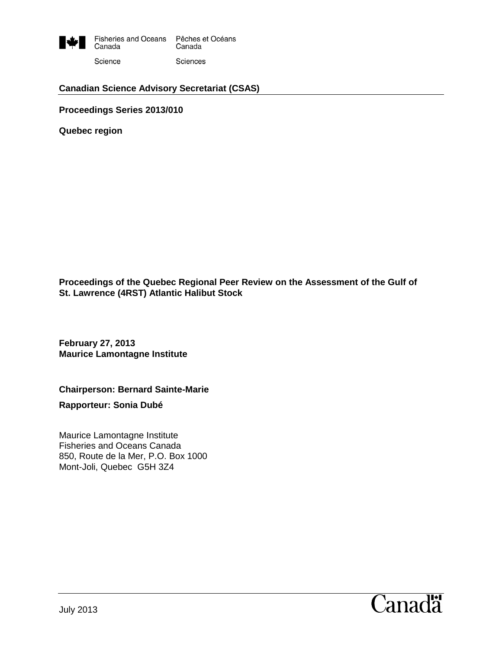

### **Canadian Science Advisory Secretariat (CSAS)**

**Proceedings Series 2013/010**

**Quebec region**

**Proceedings of the Quebec Regional Peer Review on the Assessment of the Gulf of St. Lawrence (4RST) Atlantic Halibut Stock**

**February 27, 2013 Maurice Lamontagne Institute**

#### **Chairperson: Bernard Sainte-Marie**

**Rapporteur: Sonia Dubé**

Maurice Lamontagne Institute Fisheries and Oceans Canada 850, Route de la Mer, P.O. Box 1000 Mont-Joli, Quebec G5H 3Z4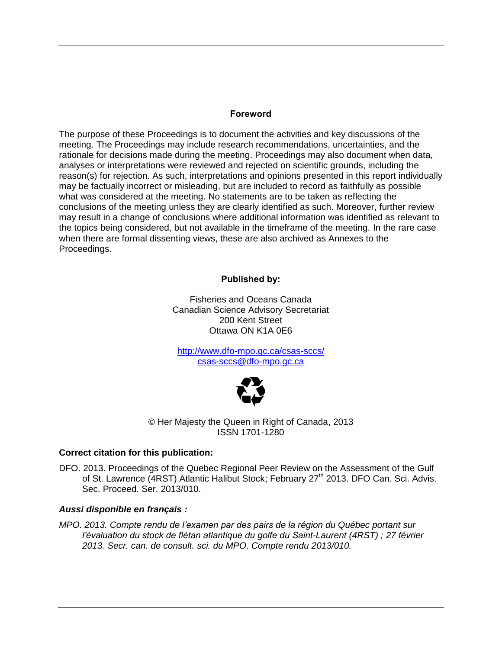### **Foreword**

The purpose of these Proceedings is to document the activities and key discussions of the meeting. The Proceedings may include research recommendations, uncertainties, and the rationale for decisions made during the meeting. Proceedings may also document when data, analyses or interpretations were reviewed and rejected on scientific grounds, including the reason(s) for rejection. As such, interpretations and opinions presented in this report individually may be factually incorrect or misleading, but are included to record as faithfully as possible what was considered at the meeting. No statements are to be taken as reflecting the conclusions of the meeting unless they are clearly identified as such. Moreover, further review may result in a change of conclusions where additional information was identified as relevant to the topics being considered, but not available in the timeframe of the meeting. In the rare case when there are formal dissenting views, these are also archived as Annexes to the Proceedings.

**Published by:**

Fisheries and Oceans Canada Canadian Science Advisory Secretariat 200 Kent Street Ottawa ON K1A 0E6

<http://www.dfo-mpo.gc.ca/csas-sccs/> [csas-sccs@dfo-mpo.gc.ca](mailto:csas-sccs@dfo-mpo.gc.ca)



© Her Majesty the Queen in Right of Canada, 2013 ISSN 1701-1280

#### **Correct citation for this publication:**

DFO. 2013. Proceedings of the Quebec Regional Peer Review on the Assessment of the Gulf of St. Lawrence (4RST) Atlantic Halibut Stock; February 27<sup>th</sup> 2013. DFO Can. Sci. Advis. Sec. Proceed. Ser. 2013/010.

### *Aussi disponible en français :*

*MPO. 2013. Compte rendu de l'examen par des pairs de la région du Québec portant sur l'évaluation du stock de flétan atlantique du golfe du Saint-Laurent (4RST) ; 27 février 2013. Secr. can. de consult. sci. du MPO, Compte rendu 2013/010.*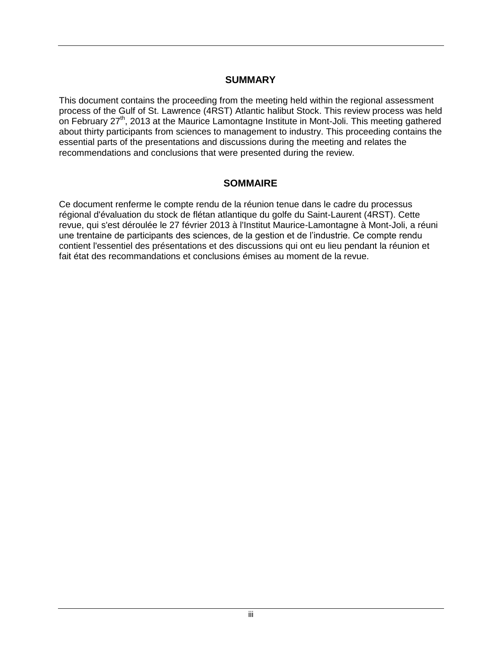### **SUMMARY**

This document contains the proceeding from the meeting held within the regional assessment process of the Gulf of St. Lawrence (4RST) Atlantic halibut Stock. This review process was held on February 27<sup>th</sup>, 2013 at the Maurice Lamontagne Institute in Mont-Joli. This meeting gathered about thirty participants from sciences to management to industry. This proceeding contains the essential parts of the presentations and discussions during the meeting and relates the recommendations and conclusions that were presented during the review.

## **SOMMAIRE**

Ce document renferme le compte rendu de la réunion tenue dans le cadre du processus régional d'évaluation du stock de flétan atlantique du golfe du Saint-Laurent (4RST). Cette revue, qui s'est déroulée le 27 février 2013 à l'Institut Maurice-Lamontagne à Mont-Joli, a réuni une trentaine de participants des sciences, de la gestion et de l'industrie. Ce compte rendu contient l'essentiel des présentations et des discussions qui ont eu lieu pendant la réunion et fait état des recommandations et conclusions émises au moment de la revue.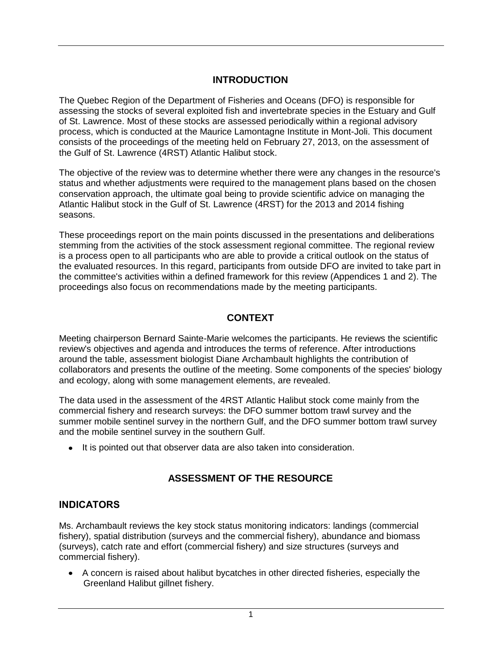# **INTRODUCTION**

The Quebec Region of the Department of Fisheries and Oceans (DFO) is responsible for assessing the stocks of several exploited fish and invertebrate species in the Estuary and Gulf of St. Lawrence. Most of these stocks are assessed periodically within a regional advisory process, which is conducted at the Maurice Lamontagne Institute in Mont-Joli. This document consists of the proceedings of the meeting held on February 27, 2013, on the assessment of the Gulf of St. Lawrence (4RST) Atlantic Halibut stock.

The objective of the review was to determine whether there were any changes in the resource's status and whether adjustments were required to the management plans based on the chosen conservation approach, the ultimate goal being to provide scientific advice on managing the Atlantic Halibut stock in the Gulf of St. Lawrence (4RST) for the 2013 and 2014 fishing seasons.

These proceedings report on the main points discussed in the presentations and deliberations stemming from the activities of the stock assessment regional committee. The regional review is a process open to all participants who are able to provide a critical outlook on the status of the evaluated resources. In this regard, participants from outside DFO are invited to take part in the committee's activities within a defined framework for this review (Appendices 1 and 2). The proceedings also focus on recommendations made by the meeting participants.

## **CONTEXT**

Meeting chairperson Bernard Sainte-Marie welcomes the participants. He reviews the scientific review's objectives and agenda and introduces the terms of reference. After introductions around the table, assessment biologist Diane Archambault highlights the contribution of collaborators and presents the outline of the meeting. Some components of the species' biology and ecology, along with some management elements, are revealed.

The data used in the assessment of the 4RST Atlantic Halibut stock come mainly from the commercial fishery and research surveys: the DFO summer bottom trawl survey and the summer mobile sentinel survey in the northern Gulf, and the DFO summer bottom trawl survey and the mobile sentinel survey in the southern Gulf.

• It is pointed out that observer data are also taken into consideration.

# **ASSESSMENT OF THE RESOURCE**

## **INDICATORS**

Ms. Archambault reviews the key stock status monitoring indicators: landings (commercial fishery), spatial distribution (surveys and the commercial fishery), abundance and biomass (surveys), catch rate and effort (commercial fishery) and size structures (surveys and commercial fishery).

A concern is raised about halibut bycatches in other directed fisheries, especially the Greenland Halibut gillnet fishery.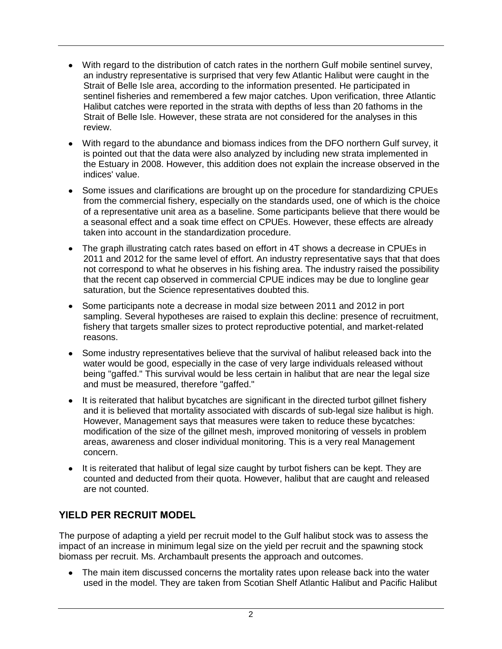- With regard to the distribution of catch rates in the northern Gulf mobile sentinel survey, an industry representative is surprised that very few Atlantic Halibut were caught in the Strait of Belle Isle area, according to the information presented. He participated in sentinel fisheries and remembered a few major catches. Upon verification, three Atlantic Halibut catches were reported in the strata with depths of less than 20 fathoms in the Strait of Belle Isle. However, these strata are not considered for the analyses in this review.
- With regard to the abundance and biomass indices from the DFO northern Gulf survey, it is pointed out that the data were also analyzed by including new strata implemented in the Estuary in 2008. However, this addition does not explain the increase observed in the indices' value.
- Some issues and clarifications are brought up on the procedure for standardizing CPUEs from the commercial fishery, especially on the standards used, one of which is the choice of a representative unit area as a baseline. Some participants believe that there would be a seasonal effect and a soak time effect on CPUEs. However, these effects are already taken into account in the standardization procedure.
- The graph illustrating catch rates based on effort in 4T shows a decrease in CPUEs in 2011 and 2012 for the same level of effort. An industry representative says that that does not correspond to what he observes in his fishing area. The industry raised the possibility that the recent cap observed in commercial CPUE indices may be due to longline gear saturation, but the Science representatives doubted this.
- Some participants note a decrease in modal size between 2011 and 2012 in port sampling. Several hypotheses are raised to explain this decline: presence of recruitment, fishery that targets smaller sizes to protect reproductive potential, and market-related reasons.
- Some industry representatives believe that the survival of halibut released back into the water would be good, especially in the case of very large individuals released without being "gaffed." This survival would be less certain in halibut that are near the legal size and must be measured, therefore "gaffed."
- It is reiterated that halibut bycatches are significant in the directed turbot gillnet fishery and it is believed that mortality associated with discards of sub-legal size halibut is high. However, Management says that measures were taken to reduce these bycatches: modification of the size of the gillnet mesh, improved monitoring of vessels in problem areas, awareness and closer individual monitoring. This is a very real Management concern.
- It is reiterated that halibut of legal size caught by turbot fishers can be kept. They are counted and deducted from their quota. However, halibut that are caught and released are not counted.

# **YIELD PER RECRUIT MODEL**

The purpose of adapting a yield per recruit model to the Gulf halibut stock was to assess the impact of an increase in minimum legal size on the yield per recruit and the spawning stock biomass per recruit. Ms. Archambault presents the approach and outcomes.

• The main item discussed concerns the mortality rates upon release back into the water used in the model. They are taken from Scotian Shelf Atlantic Halibut and Pacific Halibut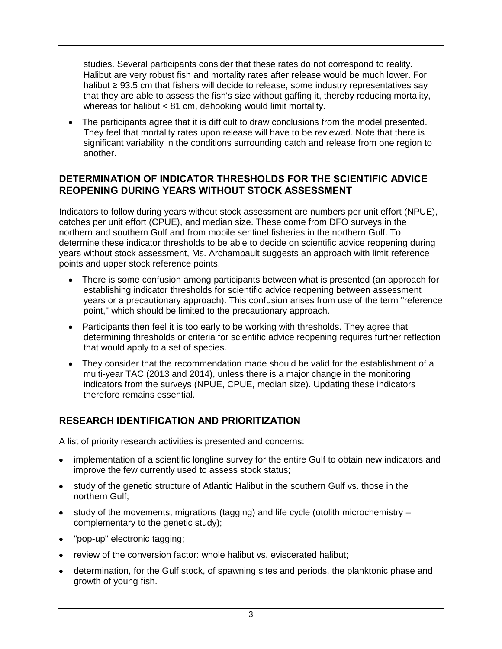studies. Several participants consider that these rates do not correspond to reality. Halibut are very robust fish and mortality rates after release would be much lower. For halibut ≥ 93.5 cm that fishers will decide to release, some industry representatives say that they are able to assess the fish's size without gaffing it, thereby reducing mortality, whereas for halibut < 81 cm, dehooking would limit mortality.

The participants agree that it is difficult to draw conclusions from the model presented. They feel that mortality rates upon release will have to be reviewed. Note that there is significant variability in the conditions surrounding catch and release from one region to another.

## **DETERMINATION OF INDICATOR THRESHOLDS FOR THE SCIENTIFIC ADVICE REOPENING DURING YEARS WITHOUT STOCK ASSESSMENT**

Indicators to follow during years without stock assessment are numbers per unit effort (NPUE), catches per unit effort (CPUE), and median size. These come from DFO surveys in the northern and southern Gulf and from mobile sentinel fisheries in the northern Gulf. To determine these indicator thresholds to be able to decide on scientific advice reopening during years without stock assessment, Ms. Archambault suggests an approach with limit reference points and upper stock reference points.

- There is some confusion among participants between what is presented (an approach for establishing indicator thresholds for scientific advice reopening between assessment years or a precautionary approach). This confusion arises from use of the term "reference point," which should be limited to the precautionary approach.
- Participants then feel it is too early to be working with thresholds. They agree that determining thresholds or criteria for scientific advice reopening requires further reflection that would apply to a set of species.
- They consider that the recommendation made should be valid for the establishment of a multi-year TAC (2013 and 2014), unless there is a major change in the monitoring indicators from the surveys (NPUE, CPUE, median size). Updating these indicators therefore remains essential.

# **RESEARCH IDENTIFICATION AND PRIORITIZATION**

A list of priority research activities is presented and concerns:

- implementation of a scientific longline survey for the entire Gulf to obtain new indicators and improve the few currently used to assess stock status;
- study of the genetic structure of Atlantic Halibut in the southern Gulf vs. those in the northern Gulf;
- study of the movements, migrations (tagging) and life cycle (otolith microchemistry complementary to the genetic study);
- "pop-up" electronic tagging;
- review of the conversion factor: whole halibut vs. eviscerated halibut;
- determination, for the Gulf stock, of spawning sites and periods, the planktonic phase and growth of young fish.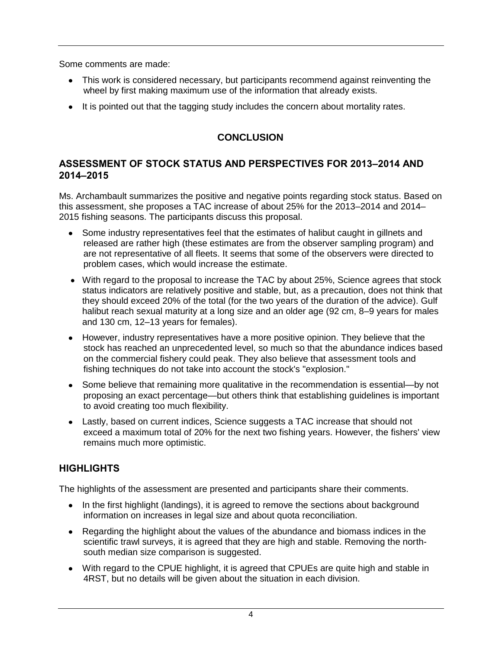Some comments are made:

- This work is considered necessary, but participants recommend against reinventing the wheel by first making maximum use of the information that already exists.
- It is pointed out that the tagging study includes the concern about mortality rates.

# **CONCLUSION**

# **ASSESSMENT OF STOCK STATUS AND PERSPECTIVES FOR 2013–2014 AND 2014–2015**

Ms. Archambault summarizes the positive and negative points regarding stock status. Based on this assessment, she proposes a TAC increase of about 25% for the 2013–2014 and 2014– 2015 fishing seasons. The participants discuss this proposal.

- Some industry representatives feel that the estimates of halibut caught in gillnets and released are rather high (these estimates are from the observer sampling program) and are not representative of all fleets. It seems that some of the observers were directed to problem cases, which would increase the estimate.
- With regard to the proposal to increase the TAC by about 25%, Science agrees that stock status indicators are relatively positive and stable, but, as a precaution, does not think that they should exceed 20% of the total (for the two years of the duration of the advice). Gulf halibut reach sexual maturity at a long size and an older age (92 cm, 8–9 years for males and 130 cm, 12–13 years for females).
- However, industry representatives have a more positive opinion. They believe that the stock has reached an unprecedented level, so much so that the abundance indices based on the commercial fishery could peak. They also believe that assessment tools and fishing techniques do not take into account the stock's "explosion."
- Some believe that remaining more qualitative in the recommendation is essential—by not proposing an exact percentage—but others think that establishing guidelines is important to avoid creating too much flexibility.
- Lastly, based on current indices, Science suggests a TAC increase that should not exceed a maximum total of 20% for the next two fishing years. However, the fishers' view remains much more optimistic.

# **HIGHLIGHTS**

The highlights of the assessment are presented and participants share their comments.

- In the first highlight (landings), it is agreed to remove the sections about background information on increases in legal size and about quota reconciliation.
- Regarding the highlight about the values of the abundance and biomass indices in the scientific trawl surveys, it is agreed that they are high and stable. Removing the northsouth median size comparison is suggested.
- With regard to the CPUE highlight, it is agreed that CPUEs are quite high and stable in 4RST, but no details will be given about the situation in each division.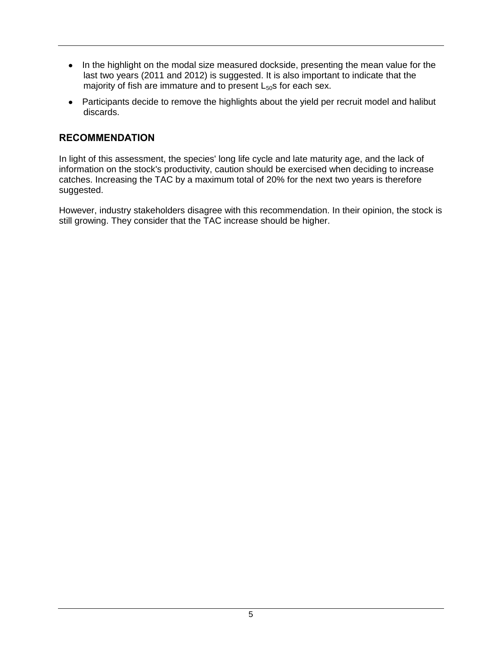- In the highlight on the modal size measured dockside, presenting the mean value for the last two years (2011 and 2012) is suggested. It is also important to indicate that the majority of fish are immature and to present  $L_{50}$ s for each sex.
- Participants decide to remove the highlights about the yield per recruit model and halibut discards.

## **RECOMMENDATION**

In light of this assessment, the species' long life cycle and late maturity age, and the lack of information on the stock's productivity, caution should be exercised when deciding to increase catches. Increasing the TAC by a maximum total of 20% for the next two years is therefore suggested.

However, industry stakeholders disagree with this recommendation. In their opinion, the stock is still growing. They consider that the TAC increase should be higher.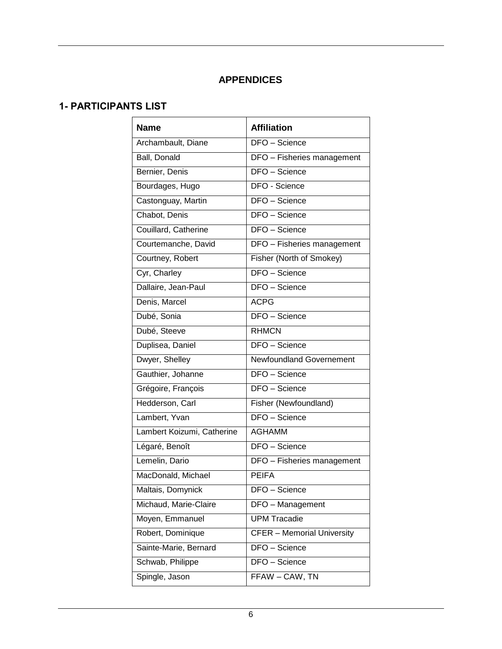# **APPENDICES**

# **1- PARTICIPANTS LIST**

| <b>Name</b>                | <b>Affiliation</b>                |
|----------------------------|-----------------------------------|
| Archambault, Diane         | DFO - Science                     |
| <b>Ball</b> , Donald       | DFO - Fisheries management        |
| Bernier, Denis             | DFO - Science                     |
| Bourdages, Hugo            | DFO - Science                     |
| Castonguay, Martin         | DFO - Science                     |
| Chabot, Denis              | <b>DFO</b> - Science              |
| Couillard, Catherine       | DFO - Science                     |
| Courtemanche, David        | DFO - Fisheries management        |
| Courtney, Robert           | Fisher (North of Smokey)          |
| Cyr, Charley               | DFO - Science                     |
| Dallaire, Jean-Paul        | <b>DFO</b> - Science              |
| Denis, Marcel              | <b>ACPG</b>                       |
| Dubé, Sonia                | DFO - Science                     |
| Dubé, Steeve               | <b>RHMCN</b>                      |
| Duplisea, Daniel           | DFO - Science                     |
| Dwyer, Shelley             | Newfoundland Governement          |
| Gauthier, Johanne          | DFO - Science                     |
| Grégoire, François         | DFO - Science                     |
| Hedderson, Carl            | Fisher (Newfoundland)             |
| Lambert, Yvan              | DFO - Science                     |
| Lambert Koizumi, Catherine | <b>AGHAMM</b>                     |
| Légaré, Benoît             | DFO - Science                     |
| Lemelin, Dario             | DFO - Fisheries management        |
| MacDonald, Michael         | <b>PEIFA</b>                      |
| Maltais, Domynick          | DFO - Science                     |
| Michaud, Marie-Claire      | DFO - Management                  |
| Moyen, Emmanuel            | <b>UPM Tracadie</b>               |
| Robert, Dominique          | <b>CFER - Memorial University</b> |
| Sainte-Marie, Bernard      | DFO - Science                     |
| Schwab, Philippe           | DFO - Science                     |
| Spingle, Jason             | FFAW - CAW, TN                    |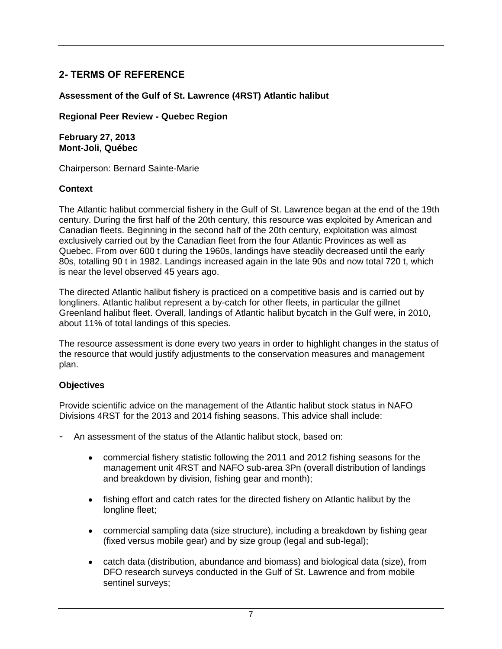# **2- TERMS OF REFERENCE**

### **Assessment of the Gulf of St. Lawrence (4RST) Atlantic halibut**

**Regional Peer Review - Quebec Region**

**February 27, 2013 Mont-Joli, Québec**

Chairperson: Bernard Sainte-Marie

### **Context**

The Atlantic halibut commercial fishery in the Gulf of St. Lawrence began at the end of the 19th century. During the first half of the 20th century, this resource was exploited by American and Canadian fleets. Beginning in the second half of the 20th century, exploitation was almost exclusively carried out by the Canadian fleet from the four Atlantic Provinces as well as Quebec. From over 600 t during the 1960s, landings have steadily decreased until the early 80s, totalling 90 t in 1982. Landings increased again in the late 90s and now total 720 t, which is near the level observed 45 years ago.

The directed Atlantic halibut fishery is practiced on a competitive basis and is carried out by longliners. Atlantic halibut represent a by-catch for other fleets, in particular the gillnet Greenland halibut fleet. Overall, landings of Atlantic halibut bycatch in the Gulf were, in 2010, about 11% of total landings of this species.

The resource assessment is done every two years in order to highlight changes in the status of the resource that would justify adjustments to the conservation measures and management plan.

### **Objectives**

Provide scientific advice on the management of the Atlantic halibut stock status in NAFO Divisions 4RST for the 2013 and 2014 fishing seasons. This advice shall include:

- An assessment of the status of the Atlantic halibut stock, based on:
	- commercial fishery statistic following the 2011 and 2012 fishing seasons for the management unit 4RST and NAFO sub-area 3Pn (overall distribution of landings and breakdown by division, fishing gear and month);
	- $\bullet$ fishing effort and catch rates for the directed fishery on Atlantic halibut by the longline fleet;
	- commercial sampling data (size structure), including a breakdown by fishing gear (fixed versus mobile gear) and by size group (legal and sub-legal);
	- catch data (distribution, abundance and biomass) and biological data (size), from DFO research surveys conducted in the Gulf of St. Lawrence and from mobile sentinel surveys;